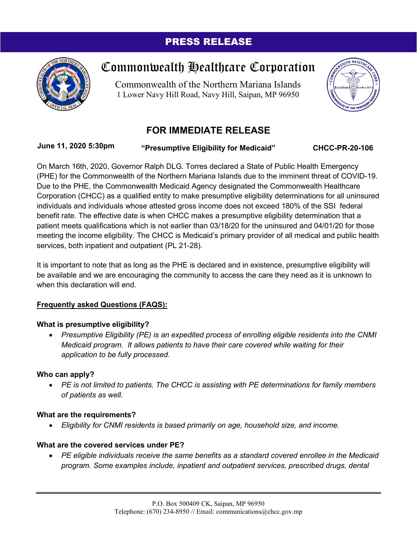# PRESS RELEASE



# Commonwealth Healthcare Corporation

Commonwealth of the Northern Mariana Islands 1 Lower Navy Hill Road, Navy Hill, Saipan, MP 96950



# **FOR IMMEDIATE RELEASE**

**June 11, 2020 5:30pm**

**"Presumptive Eligibility for Medicaid" CHCC-PR-20-106**

On March 16th, 2020, Governor Ralph DLG. Torres declared a State of Public Health Emergency (PHE) for the Commonwealth of the Northern Mariana Islands due to the imminent threat of COVID-19. Due to the PHE, the Commonwealth Medicaid Agency designated the Commonwealth Healthcare Corporation (CHCC) as a qualified entity to make presumptive eligibility determinations for all uninsured individuals and individuals whose attested gross income does not exceed 180% of the SSI federal benefit rate. The effective date is when CHCC makes a presumptive eligibility determination that a patient meets qualifications which is not earlier than 03/18/20 for the uninsured and 04/01/20 for those meeting the income eligibility. The CHCC is Medicaid's primary provider of all medical and public health services, both inpatient and outpatient (PL 21-28).

It is important to note that as long as the PHE is declared and in existence, presumptive eligibility will be available and we are encouraging the community to access the care they need as it is unknown to when this declaration will end.

# **Frequently asked Questions (FAQS):**

## **What is presumptive eligibility?**

• *Presumptive Eligibility (PE) is an expedited process of enrolling eligible residents into the CNMI Medicaid program. It allows patients to have their care covered while waiting for their application to be fully processed.*

## **Who can apply?**

• *PE is not limited to patients. The CHCC is assisting with PE determinations for family members of patients as well.*

## **What are the requirements?**

• *Eligibility for CNMI residents is based primarily on age, household size, and income.*

## **What are the covered services under PE?**

• *PE eligible individuals receive the same benefits as a standard covered enrollee in the Medicaid program. Some examples include, inpatient and outpatient services, prescribed drugs, dental*